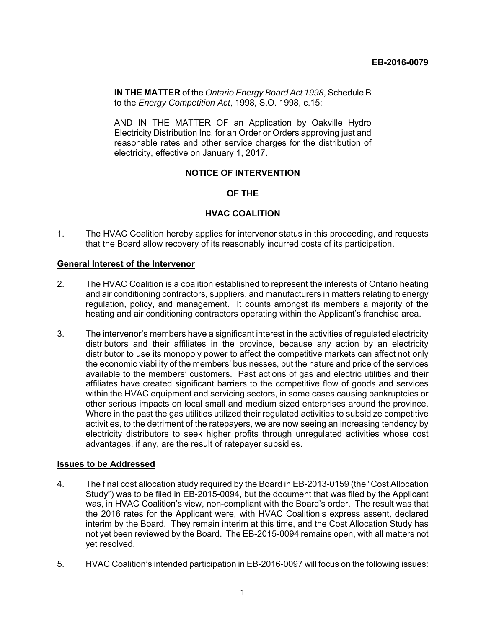**IN THE MATTER** of the *Ontario Energy Board Act 1998*, Schedule B to the *Energy Competition Act*, 1998, S.O. 1998, c.15;

AND IN THE MATTER OF an Application by Oakville Hydro Electricity Distribution Inc. for an Order or Orders approving just and reasonable rates and other service charges for the distribution of electricity, effective on January 1, 2017.

# **NOTICE OF INTERVENTION**

# **OF THE**

# **HVAC COALITION**

1. The HVAC Coalition hereby applies for intervenor status in this proceeding, and requests that the Board allow recovery of its reasonably incurred costs of its participation.

## **General Interest of the Intervenor**

- 2. The HVAC Coalition is a coalition established to represent the interests of Ontario heating and air conditioning contractors, suppliers, and manufacturers in matters relating to energy regulation, policy, and management. It counts amongst its members a majority of the heating and air conditioning contractors operating within the Applicant's franchise area.
- 3. The intervenor's members have a significant interest in the activities of regulated electricity distributors and their affiliates in the province, because any action by an electricity distributor to use its monopoly power to affect the competitive markets can affect not only the economic viability of the members' businesses, but the nature and price of the services available to the members' customers. Past actions of gas and electric utilities and their affiliates have created significant barriers to the competitive flow of goods and services within the HVAC equipment and servicing sectors, in some cases causing bankruptcies or other serious impacts on local small and medium sized enterprises around the province. Where in the past the gas utilities utilized their regulated activities to subsidize competitive activities, to the detriment of the ratepayers, we are now seeing an increasing tendency by electricity distributors to seek higher profits through unregulated activities whose cost advantages, if any, are the result of ratepayer subsidies.

## **Issues to be Addressed**

- 4. The final cost allocation study required by the Board in EB-2013-0159 (the "Cost Allocation Study") was to be filed in EB-2015-0094, but the document that was filed by the Applicant was, in HVAC Coalition's view, non-compliant with the Board's order. The result was that the 2016 rates for the Applicant were, with HVAC Coalition's express assent, declared interim by the Board. They remain interim at this time, and the Cost Allocation Study has not yet been reviewed by the Board. The EB-2015-0094 remains open, with all matters not yet resolved.
- 5. HVAC Coalition's intended participation in EB-2016-0097 will focus on the following issues: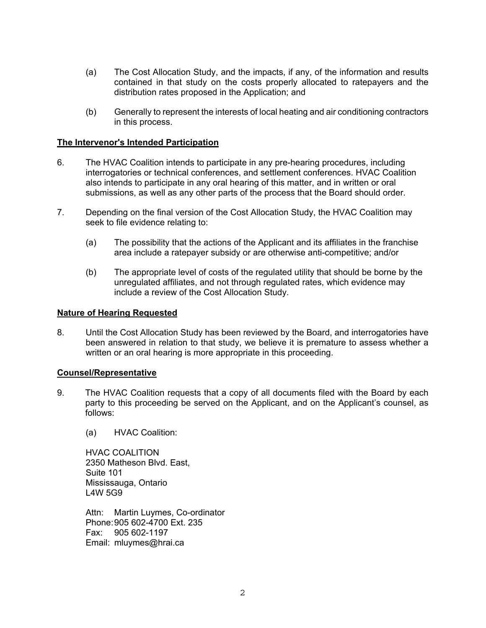- (a) The Cost Allocation Study, and the impacts, if any, of the information and results contained in that study on the costs properly allocated to ratepayers and the distribution rates proposed in the Application; and
- (b) Generally to represent the interests of local heating and air conditioning contractors in this process.

# **The Intervenor's Intended Participation**

- 6. The HVAC Coalition intends to participate in any pre-hearing procedures, including interrogatories or technical conferences, and settlement conferences. HVAC Coalition also intends to participate in any oral hearing of this matter, and in written or oral submissions, as well as any other parts of the process that the Board should order.
- 7. Depending on the final version of the Cost Allocation Study, the HVAC Coalition may seek to file evidence relating to:
	- (a) The possibility that the actions of the Applicant and its affiliates in the franchise area include a ratepayer subsidy or are otherwise anti-competitive; and/or
	- (b) The appropriate level of costs of the regulated utility that should be borne by the unregulated affiliates, and not through regulated rates, which evidence may include a review of the Cost Allocation Study.

### **Nature of Hearing Requested**

8. Until the Cost Allocation Study has been reviewed by the Board, and interrogatories have been answered in relation to that study, we believe it is premature to assess whether a written or an oral hearing is more appropriate in this proceeding.

## **Counsel/Representative**

- 9. The HVAC Coalition requests that a copy of all documents filed with the Board by each party to this proceeding be served on the Applicant, and on the Applicant's counsel, as follows:
	- (a) HVAC Coalition:

HVAC COALITION 2350 Matheson Blvd. East, Suite 101 Mississauga, Ontario L4W 5G9

Attn: Martin Luymes, Co-ordinator Phone: 905 602-4700 Ext. 235 Fax: 905 602-1197 Email: mluymes@hrai.ca